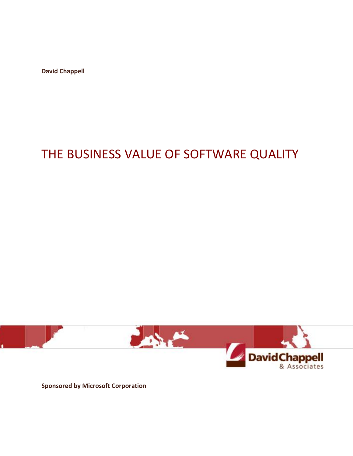**David Chappell**

# THE BUSINESS VALUE OF SOFTWARE QUALITY



**Sponsored by Microsoft Corporation**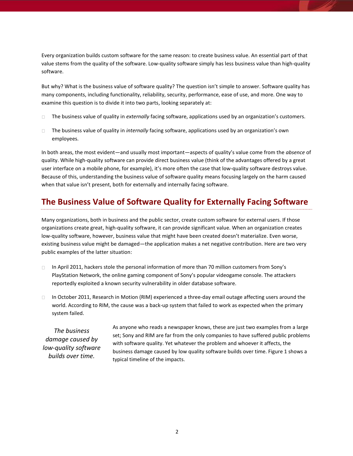Every organization builds custom software for the same reason: to create business value. An essential part of that value stems from the quality of the software. Low-quality software simply has less business value than high-quality software.

But why? What is the business value of software quality? The question isn't simple to answer. Software quality has many components, including functionality, reliability, security, performance, ease of use, and more. One way to examine this question is to divide it into two parts, looking separately at:

- $\Box$ The business value of quality in *externally* facing software, applications used by an organization's customers.
- The business value of quality in *internally* facing software, applications used by an organization's own  $\Box$ employees.

In both areas, the most evident—and usually most important—aspects of quality's value come from the *absence* of quality. While high-quality software can provide direct business value (think of the advantages offered by a great user interface on a mobile phone, for example), it's more often the case that low-quality software destroys value. Because of this, understanding the business value of software quality means focusing largely on the harm caused when that value isn't present, both for externally and internally facing software.

# **The Business Value of Software Quality for Externally Facing Software**

Many organizations, both in business and the public sector, create custom software for external users. If those organizations create great, high-quality software, it can provide significant value. When an organization creates low-quality software, however, business value that might have been created doesn't materialize. Even worse, existing business value might be damaged—the application makes a net negative contribution. Here are two very public examples of the latter situation:

- In April 2011, hackers stole the personal information of more than 70 million customers from Sony's  $\Box$ PlayStation Network, the online gaming component of Sony's popular videogame console. The attackers reportedly exploited a known security vulnerability in older database software.
- In October 2011, Research in Motion (RIM) experienced a three-day email outage affecting users around the  $\Box$ world. According to RIM, the cause was a back-up system that failed to work as expected when the primary system failed.

*The business damage caused by low-quality software builds over time.*

As anyone who reads a newspaper knows, these are just two examples from a large set; Sony and RIM are far from the only companies to have suffered public problems with software quality. Yet whatever the problem and whoever it affects, the business damage caused by low quality software builds over time. Figure 1 shows a typical timeline of the impacts.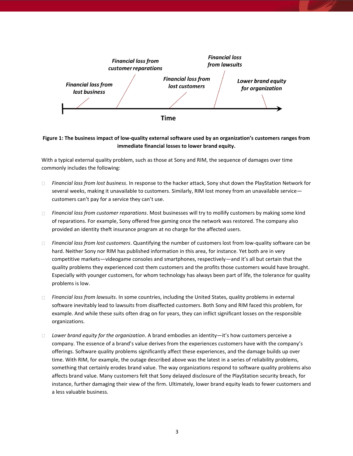

#### **Figure 1: The business impact of low-quality external software used by an organization's customers ranges from immediate financial losses to lower brand equity.**

With a typical external quality problem, such as those at Sony and RIM, the sequence of damages over time commonly includes the following:

- *Financial loss from lost business*. In response to the hacker attack, Sony shut down the PlayStation Network for  $\Box$ several weeks, making it unavailable to customers. Similarly, RIM lost money from an unavailable service customers can't pay for a service they can't use.
- *Financial loss from customer reparations*. Most businesses will try to mollify customers by making some kind  $\Box$ of reparations. For example, Sony offered free gaming once the network was restored. The company also provided an identity theft insurance program at no charge for the affected users.
- $\Box$ *Financial loss from lost customers*. Quantifying the number of customers lost from low-quality software can be hard. Neither Sony nor RIM has published information in this area, for instance. Yet both are in very competitive markets—videogame consoles and smartphones, respectively—and it's all but certain that the quality problems they experienced cost them customers and the profits those customers would have brought. Especially with younger customers, for whom technology has always been part of life, the tolerance for quality problems is low.
- *Financial loss from lawsuits*. In some countries, including the United States, quality problems in external  $\Box$ software inevitably lead to lawsuits from disaffected customers. Both Sony and RIM faced this problem, for example. And while these suits often drag on for years, they can inflict significant losses on the responsible organizations.
- *Lower brand equity for the organization*. A brand embodies an identity—it's how customers perceive a  $\Box$ company. The essence of a brand's value derives from the experiences customers have with the company's offerings. Software quality problems significantly affect these experiences, and the damage builds up over time. With RIM, for example, the outage described above was the latest in a series of reliability problems, something that certainly erodes brand value. The way organizations respond to software quality problems also affects brand value. Many customers felt that Sony delayed disclosure of the PlayStation security breach, for instance, further damaging their view of the firm. Ultimately, lower brand equity leads to fewer customers and a less valuable business.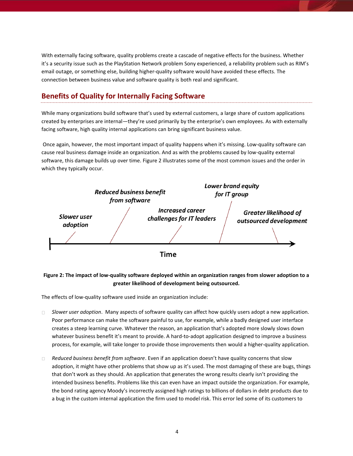With externally facing software, quality problems create a cascade of negative effects for the business. Whether it's a security issue such as the PlayStation Network problem Sony experienced, a reliability problem such as RIM's email outage, or something else, building higher-quality software would have avoided these effects. The connection between business value and software quality is both real and significant.

## **Benefits of Quality for Internally Facing Software**

While many organizations build software that's used by external customers, a large share of custom applications created by enterprises are internal—they're used primarily by the enterprise's own employees. As with externally facing software, high quality internal applications can bring significant business value.

Once again, however, the most important impact of quality happens when it's missing. Low-quality software can cause real business damage inside an organization. And as with the problems caused by low-quality external software, this damage builds up over time. Figure 2 illustrates some of the most common issues and the order in which they typically occur.



### **Figure 2: The impact of low-quality software deployed within an organization ranges from slower adoption to a greater likelihood of development being outsourced.**

The effects of low-quality software used inside an organization include:

- $\Box$ *Slower user adoption*. Many aspects of software quality can affect how quickly users adopt a new application. Poor performance can make the software painful to use, for example, while a badly designed user interface creates a steep learning curve. Whatever the reason, an application that's adopted more slowly slows down whatever business benefit it's meant to provide. A hard-to-adopt application designed to improve a business process, for example, will take longer to provide those improvements then would a higher-quality application.
- *Reduced business benefit from software*. Even if an application doesn't have quality concerns that slow  $\Box$ adoption, it might have other problems that show up as it's used. The most damaging of these are bugs, things that don't work as they should. An application that generates the wrong results clearly isn't providing the intended business benefits. Problems like this can even have an impact outside the organization. For example, the bond rating agency Moody's incorrectly assigned high ratings to billions of dollars in debt products due to a bug in the custom internal application the firm used to model risk. This error led some of its customers to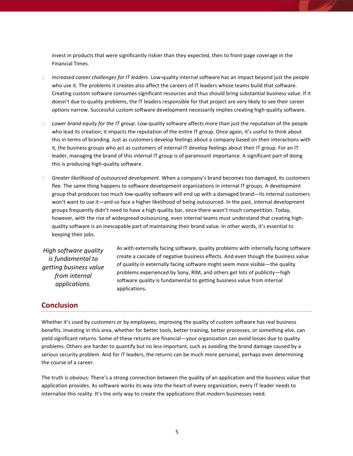invest in products that were significantly riskier than they expected, then to front-page coverage in the Financial Times.

- *Increased career challenges for IT leaders*. Low-quality internal software has an impact beyond just the people who use it. The problems it creates also affect the careers of IT leaders whose teams build that software. Creating custom software consumes significant resources and thus should bring substantial business value. If it doesn't due to quality problems, the IT leaders responsible for that project are very likely to see their career options narrow. Successful custom software development necessarily implies creating high-quality software.
- *Lower brand equity for the IT group*. Low-quality software affects more than just the reputation of the people  $\Box$ who lead its creation; it impacts the reputation of the entire IT group. Once again, it's useful to think about this in terms of branding. Just as customers develop feelings about a company based on their interactions with it, the business groups who act as customers of internal IT develop feelings about their IT group. For an IT leader, managing the brand of this internal IT group is of paramount importance. A significant part of doing this is producing high-quality software.
- *Greater likelihood of outsourced development*. When a company's brand becomes too damaged, its customers flee. The same thing happens to software development organizations in internal IT groups. A development group that produces too much low-quality software will end up with a damaged brand—its internal customers won't want to use it—and so face a higher likelihood of being outsourced. In the past, internal development groups frequently didn't need to have a high quality bar, since there wasn't much competition. Today, however, with the rise of widespread outsourcing, even internal teams must understand that creating highquality software is an inescapable part of maintaining their brand value. In other words, it's essential to keeping their jobs.

*High software quality is fundamental to getting business value from internal applications.*

As with externally facing software, quality problems with internally facing software create a cascade of negative business effects. And even though the business value of quality in externally facing software might seem more visible—the quality problems experienced by Sony, RIM, and others get lots of publicity—high software quality is fundamental to getting business value from internal applications.

## **Conclusion**

Whether it's used by customers or by employees, improving the quality of custom software has real business benefits. Investing in this area, whether for better tools, better training, better processes, or something else, can yield significant returns. Some of these returns are financial—your organization can avoid losses due to quality problems. Others are harder to quantify but no less important, such as avoiding the brand damage caused by a serious security problem. And for IT leaders, the returns can be much more personal, perhaps even determining the course of a career.

The truth is obvious: There's a strong connection between the quality of an application and the business value that application provides. As software works its way into the heart of every organization, every IT leader needs to internalize this reality. It's the only way to create the applications that modern businesses need.